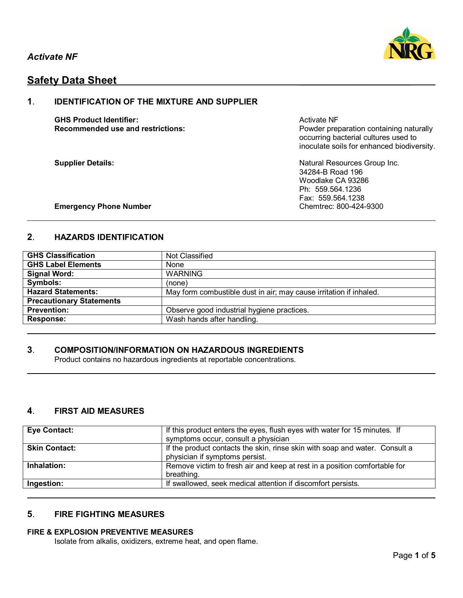

# **Safety Data Sheet**

## **1**. **IDENTIFICATION OF THE MIXTURE AND SUPPLIER**

**GHS Product Identifier:** Activate NF Activate NF

**Recommended use and restrictions: Powder preparation containing naturally** occurring bacterial cultures used to inoculate soils for enhanced biodiversity.

**Supplier Details:** Natural Resources Group Inc. 34284-B Road 196 Woodlake CA 93286 Ph: 559.564.1236 Fax: 559.564.1238

### **Emergency Phone Number Chemtrec: 800-424-9300**

## **2**. **HAZARDS IDENTIFICATION**

| <b>GHS Classification</b>       | Not Classified                                                     |
|---------------------------------|--------------------------------------------------------------------|
| <b>GHS Label Elements</b>       | None                                                               |
| Signal Word:                    | <b>WARNING</b>                                                     |
| Symbols:                        | (none)                                                             |
| <b>Hazard Statements:</b>       | May form combustible dust in air; may cause irritation if inhaled. |
| <b>Precautionary Statements</b> |                                                                    |
| <b>Prevention:</b>              | Observe good industrial hygiene practices.                         |
| <b>Response:</b>                | Wash hands after handling.                                         |

## **3**. **COMPOSITION/INFORMATION ON HAZARDOUS INGREDIENTS**

Product contains no hazardous ingredients at reportable concentrations.

## **4**. **FIRST AID MEASURES**

| <b>Eye Contact:</b>  | If this product enters the eyes, flush eyes with water for 15 minutes. If<br>symptoms occur, consult a physician |
|----------------------|------------------------------------------------------------------------------------------------------------------|
| <b>Skin Contact:</b> | If the product contacts the skin, rinse skin with soap and water. Consult a<br>physician if symptoms persist.    |
| Inhalation:          | Remove victim to fresh air and keep at rest in a position comfortable for<br>breathing.                          |
| Ingestion:           | If swallowed, seek medical attention if discomfort persists.                                                     |

## **5**. **FIRE FIGHTING MEASURES**

### **FIRE & EXPLOSION PREVENTIVE MEASURES**

Isolate from alkalis, oxidizers, extreme heat, and open flame.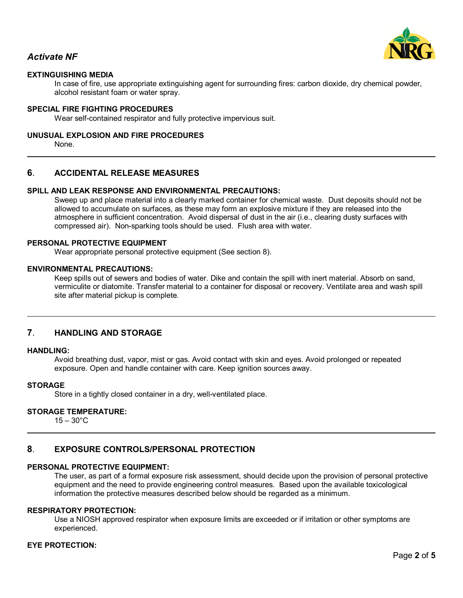

## *Activate NF*

## **EXTINGUISHING MEDIA**

In case of fire, use appropriate extinguishing agent for surrounding fires: carbon dioxide, dry chemical powder, alcohol resistant foam or water spray.

#### **SPECIAL FIRE FIGHTING PROCEDURES**

Wear self-contained respirator and fully protective impervious suit.

#### **UNUSUAL EXPLOSION AND FIRE PROCEDURES**

None.

### **6**. **ACCIDENTAL RELEASE MEASURES**

## **SPILL AND LEAK RESPONSE AND ENVIRONMENTAL PRECAUTIONS:**

Sweep up and place material into a clearly marked container for chemical waste. Dust deposits should not be allowed to accumulate on surfaces, as these may form an explosive mixture if they are released into the atmosphere in sufficient concentration. Avoid dispersal of dust in the air (i.e., clearing dusty surfaces with compressed air). Non-sparking tools should be used. Flush area with water.

#### **PERSONAL PROTECTIVE EQUIPMENT**

Wear appropriate personal protective equipment (See section 8).

#### **ENVIRONMENTAL PRECAUTIONS:**

Keep spills out of sewers and bodies of water. Dike and contain the spill with inert material. Absorb on sand, vermiculite or diatomite. Transfer material to a container for disposal or recovery. Ventilate area and wash spill site after material pickup is complete.

#### **7**. **HANDLING AND STORAGE**

#### **HANDLING:**

Avoid breathing dust, vapor, mist or gas. Avoid contact with skin and eyes. Avoid prolonged or repeated exposure. Open and handle container with care. Keep ignition sources away.

#### **STORAGE**

Store in a tightly closed container in a dry, well-ventilated place.

### **STORAGE TEMPERATURE:**

 $15 - 30^{\circ}$ C

## **8**. **EXPOSURE CONTROLS/PERSONAL PROTECTION**

#### **PERSONAL PROTECTIVE EQUIPMENT:**

The user, as part of a formal exposure risk assessment, should decide upon the provision of personal protective equipment and the need to provide engineering control measures. Based upon the available toxicological information the protective measures described below should be regarded as a minimum.

#### **RESPIRATORY PROTECTION:**

Use a NIOSH approved respirator when exposure limits are exceeded or if irritation or other symptoms are experienced.

## **EYE PROTECTION:**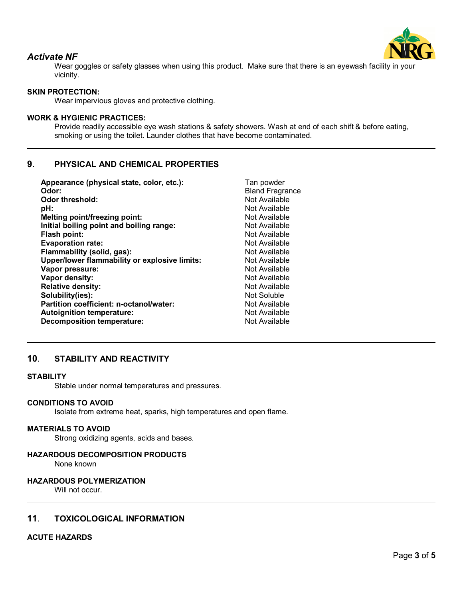

## *Activate NF*

Wear goggles or safety glasses when using this product. Make sure that there is an eyewash facility in your vicinity.

## **SKIN PROTECTION:**

Wear impervious gloves and protective clothing.

## **WORK & HYGIENIC PRACTICES:**

Provide readily accessible eye wash stations & safety showers. Wash at end of each shift & before eating, smoking or using the toilet. Launder clothes that have become contaminated.

## **9**. **PHYSICAL AND CHEMICAL PROPERTIES**

| Appearance (physical state, color, etc.):     | Tan powder             |
|-----------------------------------------------|------------------------|
| Odor:                                         | <b>Bland Fragrance</b> |
| <b>Odor threshold:</b>                        | Not Available          |
| pH:                                           | Not Available          |
| Melting point/freezing point:                 | Not Available          |
| Initial boiling point and boiling range:      | Not Available          |
| Flash point:                                  | Not Available          |
| <b>Evaporation rate:</b>                      | Not Available          |
| Flammability (solid, gas):                    | Not Available          |
| Upper/lower flammability or explosive limits: | Not Available          |
| Vapor pressure:                               | Not Available          |
| Vapor density:                                | Not Available          |
| <b>Relative density:</b>                      | Not Available          |
| Solubility(ies):                              | Not Soluble            |
| Partition coefficient: n-octanol/water:       | Not Available          |
| <b>Autoignition temperature:</b>              | Not Available          |
| <b>Decomposition temperature:</b>             | Not Available          |
|                                               |                        |

## **10**. **STABILITY AND REACTIVITY**

#### **STABILITY**

Stable under normal temperatures and pressures.

#### **CONDITIONS TO AVOID**

Isolate from extreme heat, sparks, high temperatures and open flame.

#### **MATERIALS TO AVOID**

Strong oxidizing agents, acids and bases.

#### **HAZARDOUS DECOMPOSITION PRODUCTS**

None known

#### **HAZARDOUS POLYMERIZATION**

Will not occur.

## **11**. **TOXICOLOGICAL INFORMATION**

#### **ACUTE HAZARDS**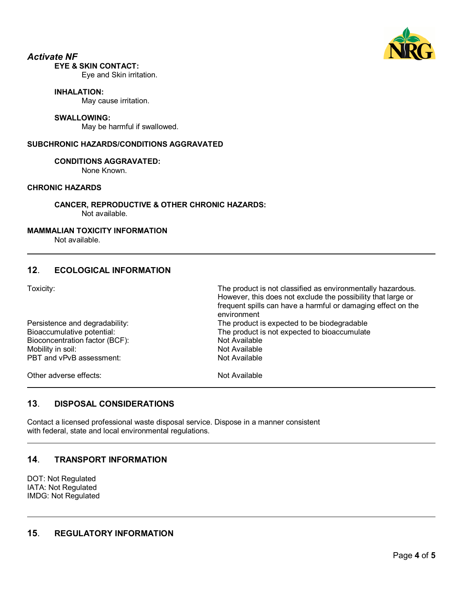

# *Activate NF*

## **EYE & SKIN CONTACT:**

Eye and Skin irritation.

#### **INHALATION:**

May cause irritation.

#### **SWALLOWING:**

May be harmful if swallowed.

### **SUBCHRONIC HAZARDS/CONDITIONS AGGRAVATED**

### **CONDITIONS AGGRAVATED:**

None Known.

## **CHRONIC HAZARDS**

**CANCER, REPRODUCTIVE & OTHER CHRONIC HAZARDS:** Not available.

### **MAMMALIAN TOXICITY INFORMATION**

Not available.

## **12**. **ECOLOGICAL INFORMATION**

Toxicity: The product is not classified as environmentally hazardous.

| .                              | However, this does not exclude the possibility that large or<br>frequent spills can have a harmful or damaging effect on the<br>environment |
|--------------------------------|---------------------------------------------------------------------------------------------------------------------------------------------|
| Persistence and degradability: | The product is expected to be biodegradable                                                                                                 |
| Bioaccumulative potential:     | The product is not expected to bioaccumulate                                                                                                |
| Bioconcentration factor (BCF): | Not Available                                                                                                                               |
| Mobility in soil:              | Not Available                                                                                                                               |
| PBT and vPvB assessment:       | Not Available                                                                                                                               |
| Other adverse effects:         | Not Available                                                                                                                               |

## **13**. **DISPOSAL CONSIDERATIONS**

Contact a licensed professional waste disposal service. Dispose in a manner consistent with federal, state and local environmental regulations.

## **14**. **TRANSPORT INFORMATION**

DOT: Not Regulated IATA: Not Regulated IMDG: Not Regulated